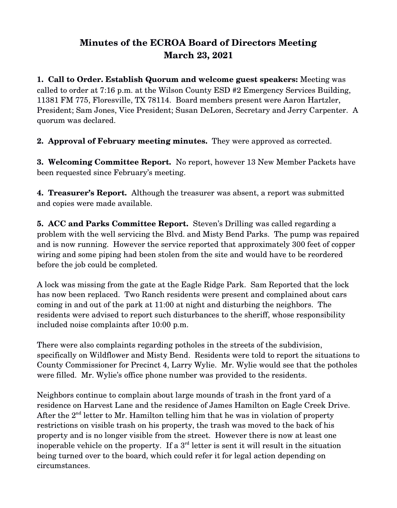## **Minutes of the ECROA Board of Directors Meeting March 23, 2021**

**1. Call to Order. Establish Quorum and welcome guest speakers:** Meeting was called to order at 7:16 p.m. at the Wilson County ESD #2 Emergency Services Building, 11381 FM 775, Floresville, TX 78114. Board members present were Aaron Hartzler, President; Sam Jones, Vice President; Susan DeLoren, Secretary and Jerry Carpenter. A quorum was declared.

**2. Approval of February meeting minutes.** They were approved as corrected.

**3. Welcoming Committee Report.** No report, however 13 New Member Packets have been requested since February's meeting.

**4. Treasurer's Report.** Although the treasurer was absent, a report was submitted and copies were made available.

**5. ACC and Parks Committee Report.** Steven's Drilling was called regarding a problem with the well servicing the Blvd. and Misty Bend Parks. The pump was repaired and is now running. However the service reported that approximately 300 feet of copper wiring and some piping had been stolen from the site and would have to be reordered before the job could be completed.

A lock was missing from the gate at the Eagle Ridge Park. Sam Reported that the lock has now been replaced. Two Ranch residents were present and complained about cars coming in and out of the park at 11:00 at night and disturbing the neighbors. The residents were advised to report such disturbances to the sheriff, whose responsibility included noise complaints after 10:00 p.m.

There were also complaints regarding potholes in the streets of the subdivision, specifically on Wildflower and Misty Bend. Residents were told to report the situations to County Commissioner for Precinct 4, Larry Wylie. Mr. Wylie would see that the potholes were filled. Mr. Wylie's office phone number was provided to the residents.

Neighbors continue to complain about large mounds of trash in the front yard of a residence on Harvest Lane and the residence of James Hamilton on Eagle Creek Drive. After the  $2<sup>nd</sup>$  letter to Mr. Hamilton telling him that he was in violation of property restrictions on visible trash on his property, the trash was moved to the back of his property and is no longer visible from the street. However there is now at least one inoperable vehicle on the property. If a  $3<sup>rd</sup>$  letter is sent it will result in the situation being turned over to the board, which could refer it for legal action depending on circumstances.